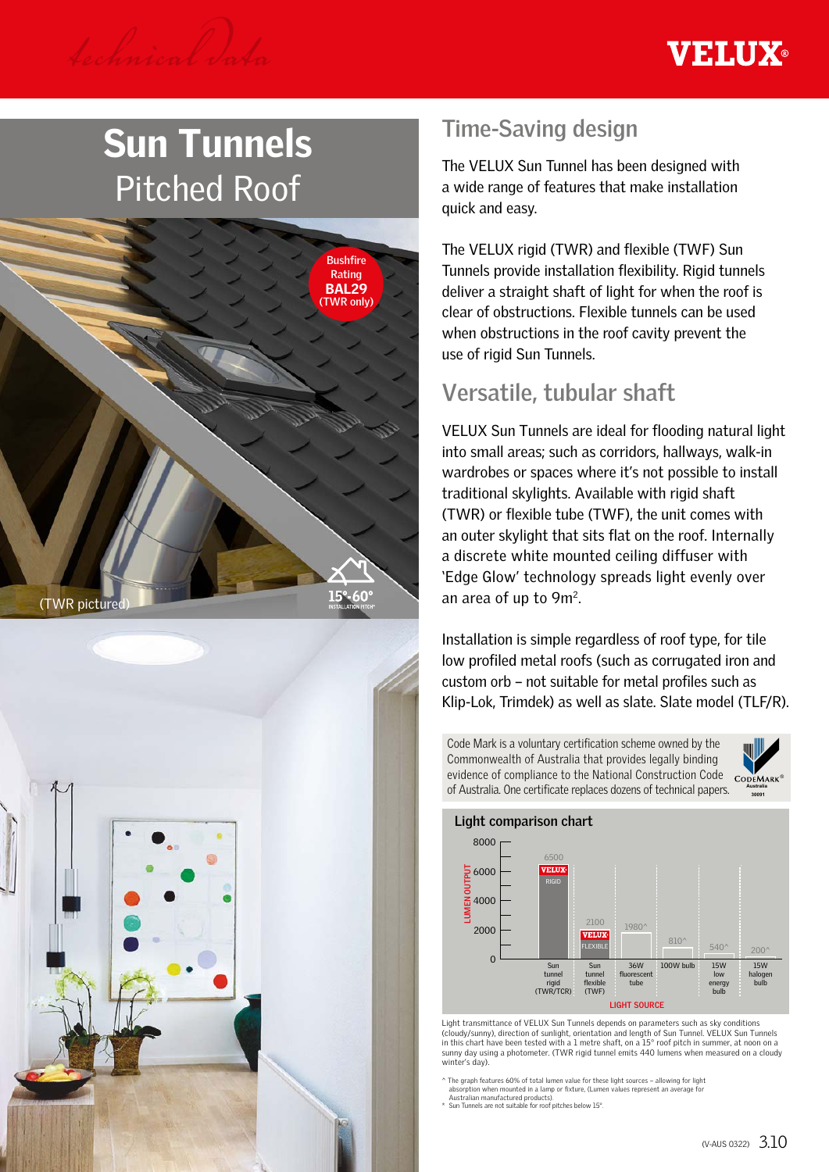

# Sun Tunnels Pitched Roof





# **Time-Saving design**

The VELUX Sun Tunnel has been designed with a wide range of features that make installation quick and easy.

The VELUX rigid (TWR) and flexible (TWF) Sun Tunnels provide installation flexibility. Rigid tunnels deliver a straight shaft of light for when the roof is clear of obstructions. Flexible tunnels can be used when obstructions in the roof cavity prevent the use of rigid Sun Tunnels.

# **Versatile, tubular shaft**

VELUX Sun Tunnels are ideal for flooding natural light into small areas; such as corridors, hallways, walk-in wardrobes or spaces where it's not possible to install traditional skylights. Available with rigid shaft (TWR) or flexible tube (TWF), the unit comes with an outer skylight that sits flat on the roof. Internally a discrete white mounted ceiling diffuser with 'Edge Glow' technology spreads light evenly over an area of up to 9m2.

Installation is simple regardless of roof type, for tile low profiled metal roofs (such as corrugated iron and custom orb – not suitable for metal profiles such as Klip-Lok, Trimdek) as well as slate. Slate model (TLF/R).

Code Mark is a voluntary certification scheme owned by the Commonwealth of Australia that provides legally binding evidence of compliance to the National Construction Code of Australia. One certificate replaces dozens of technical papers.



**30090**



Light transmittance of VELUX Sun Tunnels depends on parameters such as sky conditions (cloudy/sunny), direction of sunlight, orientation and length of Sun Tunnel. VELUX Sun Tunnels in this chart have been tested with a 1 metre shaft, on a 15° roof pitch in summer, at noon on a sunny day using a photometer. (TWR rigid tunnel emits 440 lumens when measured on a cloudy winter's day).

 $\land$  The graph features 60% of total lumen value for these light sources – allowing for light<br>absorption when mounted in a lamp or fixture, (Lumen values represent an average for<br>Australian manufactured products).<br>\* Sun T